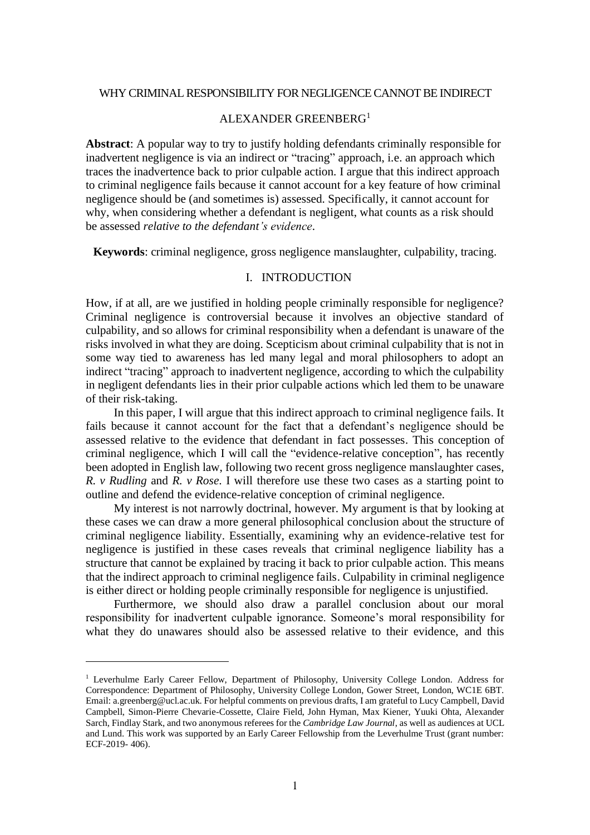#### WHY CRIMINAL RESPONSIBILITY FOR NEGLIGENCE CANNOT BE INDIRECT

# ALEXANDER GREENBERG<sup>1</sup>

**Abstract**: A popular way to try to justify holding defendants criminally responsible for inadvertent negligence is via an indirect or "tracing" approach, i.e. an approach which traces the inadvertence back to prior culpable action. I argue that this indirect approach to criminal negligence fails because it cannot account for a key feature of how criminal negligence should be (and sometimes is) assessed. Specifically, it cannot account for why, when considering whether a defendant is negligent, what counts as a risk should be assessed *relative to the defendant's evidence*.

**Keywords**: criminal negligence, gross negligence manslaughter, culpability, tracing.

#### I. INTRODUCTION

How, if at all, are we justified in holding people criminally responsible for negligence? Criminal negligence is controversial because it involves an objective standard of culpability, and so allows for criminal responsibility when a defendant is unaware of the risks involved in what they are doing. Scepticism about criminal culpability that is not in some way tied to awareness has led many legal and moral philosophers to adopt an indirect "tracing" approach to inadvertent negligence, according to which the culpability in negligent defendants lies in their prior culpable actions which led them to be unaware of their risk-taking.

In this paper, I will argue that this indirect approach to criminal negligence fails. It fails because it cannot account for the fact that a defendant's negligence should be assessed relative to the evidence that defendant in fact possesses. This conception of criminal negligence, which I will call the "evidence-relative conception", has recently been adopted in English law, following two recent gross negligence manslaughter cases, *R. v Rudling* and *R. v Rose*. I will therefore use these two cases as a starting point to outline and defend the evidence-relative conception of criminal negligence.

My interest is not narrowly doctrinal, however. My argument is that by looking at these cases we can draw a more general philosophical conclusion about the structure of criminal negligence liability. Essentially, examining why an evidence-relative test for negligence is justified in these cases reveals that criminal negligence liability has a structure that cannot be explained by tracing it back to prior culpable action. This means that the indirect approach to criminal negligence fails. Culpability in criminal negligence is either direct or holding people criminally responsible for negligence is unjustified.

Furthermore, we should also draw a parallel conclusion about our moral responsibility for inadvertent culpable ignorance. Someone's moral responsibility for what they do unawares should also be assessed relative to their evidence, and this

<sup>1</sup> Leverhulme Early Career Fellow, Department of Philosophy, University College London. Address for Correspondence: Department of Philosophy, University College London, Gower Street, London, WC1E 6BT. Email: a.greenberg@ucl.ac.uk. For helpful comments on previous drafts, I am grateful to Lucy Campbell, David Campbell, Simon-Pierre Chevarie-Cossette, Claire Field, John Hyman, Max Kiener, Yuuki Ohta, Alexander Sarch, Findlay Stark, and two anonymous referees for the *Cambridge Law Journal*, as well as audiences at UCL and Lund. This work was supported by an Early Career Fellowship from the Leverhulme Trust (grant number: ECF-2019- 406).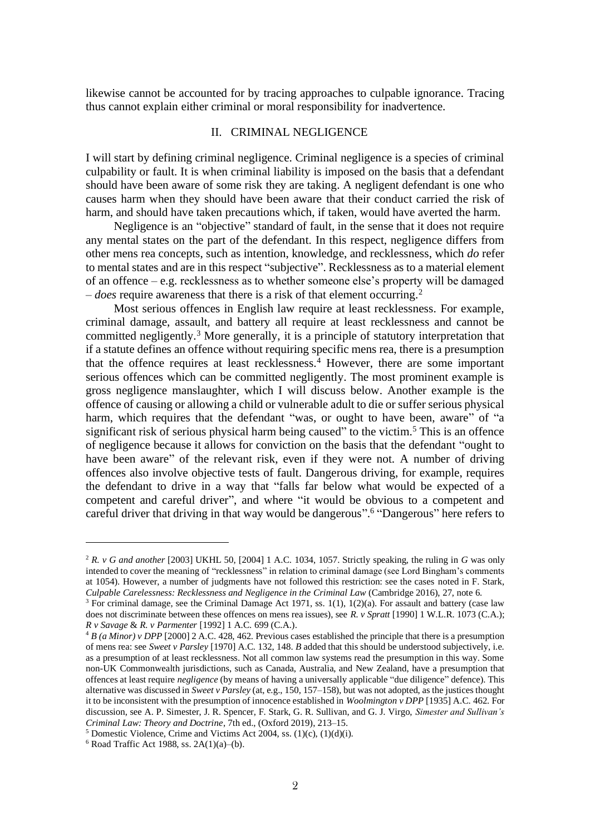likewise cannot be accounted for by tracing approaches to culpable ignorance. Tracing thus cannot explain either criminal or moral responsibility for inadvertence.

#### II. CRIMINAL NEGLIGENCE

I will start by defining criminal negligence. Criminal negligence is a species of criminal culpability or fault. It is when criminal liability is imposed on the basis that a defendant should have been aware of some risk they are taking. A negligent defendant is one who causes harm when they should have been aware that their conduct carried the risk of harm, and should have taken precautions which, if taken, would have averted the harm.

Negligence is an "objective" standard of fault, in the sense that it does not require any mental states on the part of the defendant. In this respect, negligence differs from other mens rea concepts, such as intention, knowledge, and recklessness, which *do* refer to mental states and are in this respect "subjective". Recklessness as to a material element of an offence – e.g. recklessness as to whether someone else's property will be damaged – *does* require awareness that there is a risk of that element occurring.<sup>2</sup>

Most serious offences in English law require at least recklessness. For example, criminal damage, assault, and battery all require at least recklessness and cannot be committed negligently.<sup>3</sup> More generally, it is a principle of statutory interpretation that if a statute defines an offence without requiring specific mens rea, there is a presumption that the offence requires at least recklessness.<sup>4</sup> However, there are some important serious offences which can be committed negligently. The most prominent example is gross negligence manslaughter, which I will discuss below. Another example is the offence of causing or allowing a child or vulnerable adult to die or suffer serious physical harm, which requires that the defendant "was, or ought to have been, aware" of "a significant risk of serious physical harm being caused" to the victim.<sup>5</sup> This is an offence of negligence because it allows for conviction on the basis that the defendant "ought to have been aware" of the relevant risk, even if they were not. A number of driving offences also involve objective tests of fault. Dangerous driving, for example, requires the defendant to drive in a way that "falls far below what would be expected of a competent and careful driver", and where "it would be obvious to a competent and careful driver that driving in that way would be dangerous".<sup>6</sup> "Dangerous" here refers to

<sup>2</sup> *R. v G and another* [2003] UKHL 50, [2004] 1 A.C. 1034, 1057. Strictly speaking, the ruling in *G* was only intended to cover the meaning of "recklessness" in relation to criminal damage (see Lord Bingham's comments at 1054). However, a number of judgments have not followed this restriction: see the cases noted in F. Stark, *Culpable Carelessness: Recklessness and Negligence in the Criminal Law* (Cambridge 2016), 27, note 6.

<sup>&</sup>lt;sup>3</sup> For criminal damage, see the Criminal Damage Act 1971, ss.  $1(1)$ ,  $1(2)(a)$ . For assault and battery (case law does not discriminate between these offences on mens rea issues), see *R. v Spratt* [1990] 1 W.L.R. 1073 (C.A.); *R v Savage* & *R. v Parmenter* [1992] 1 A.C. 699 (C.A.).

<sup>4</sup> *B (a Minor) v DPP* [2000] 2 A.C. 428, 462. Previous cases established the principle that there is a presumption of mens rea: see *Sweet v Parsley* [1970] A.C. 132, 148. *B* added that this should be understood subjectively, i.e. as a presumption of at least recklessness. Not all common law systems read the presumption in this way. Some non-UK Commonwealth jurisdictions, such as Canada, Australia, and New Zealand, have a presumption that offences at least require *negligence* (by means of having a universally applicable "due diligence" defence). This alternative was discussed in *Sweet v Parsley* (at, e.g., 150, 157–158), but was not adopted, as the justices thought it to be inconsistent with the presumption of innocence established in *Woolmington v DPP* [1935] A.C. 462. For discussion, see A. P. Simester, J. R. Spencer, F. Stark, G. R. Sullivan, and G. J. Virgo, *Simester and Sullivan's Criminal Law: Theory and Doctrine*, 7th ed., (Oxford 2019), 213–15.

<sup>&</sup>lt;sup>5</sup> Domestic Violence, Crime and Victims Act 2004, ss.  $(1)(c)$ ,  $(1)(d)(i)$ .

 $6$  Road Traffic Act 1988, ss. 2A(1)(a)–(b).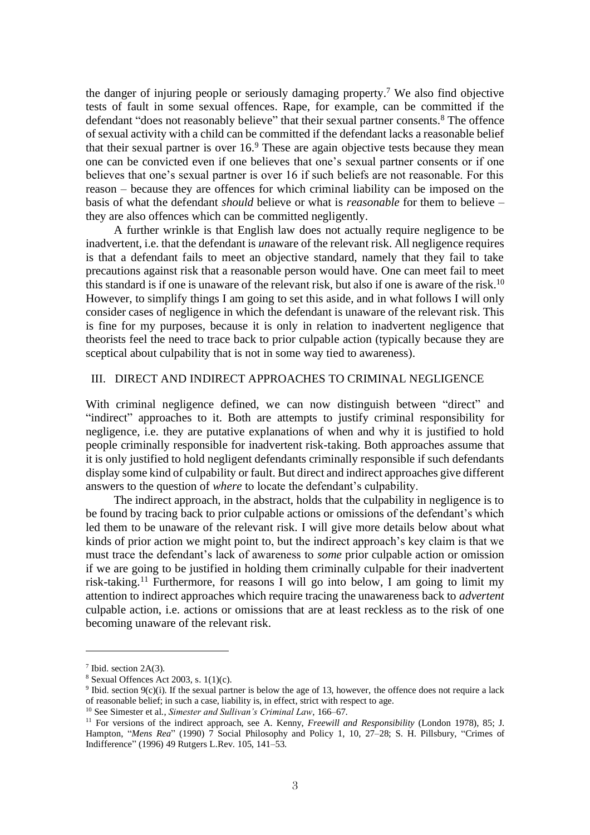the danger of injuring people or seriously damaging property. <sup>7</sup> We also find objective tests of fault in some sexual offences. Rape, for example, can be committed if the defendant "does not reasonably believe" that their sexual partner consents. <sup>8</sup> The offence of sexual activity with a child can be committed if the defendant lacks a reasonable belief that their sexual partner is over  $16<sup>9</sup>$  These are again objective tests because they mean one can be convicted even if one believes that one's sexual partner consents or if one believes that one's sexual partner is over 16 if such beliefs are not reasonable. For this reason – because they are offences for which criminal liability can be imposed on the basis of what the defendant *should* believe or what is *reasonable* for them to believe – they are also offences which can be committed negligently.

A further wrinkle is that English law does not actually require negligence to be inadvertent, i.e. that the defendant is *un*aware of the relevant risk. All negligence requires is that a defendant fails to meet an objective standard, namely that they fail to take precautions against risk that a reasonable person would have. One can meet fail to meet this standard is if one is unaware of the relevant risk, but also if one is aware of the risk.<sup>10</sup> However, to simplify things I am going to set this aside, and in what follows I will only consider cases of negligence in which the defendant is unaware of the relevant risk. This is fine for my purposes, because it is only in relation to inadvertent negligence that theorists feel the need to trace back to prior culpable action (typically because they are sceptical about culpability that is not in some way tied to awareness).

#### III. DIRECT AND INDIRECT APPROACHES TO CRIMINAL NEGLIGENCE

With criminal negligence defined, we can now distinguish between "direct" and "indirect" approaches to it. Both are attempts to justify criminal responsibility for negligence, i.e. they are putative explanations of when and why it is justified to hold people criminally responsible for inadvertent risk-taking. Both approaches assume that it is only justified to hold negligent defendants criminally responsible if such defendants display some kind of culpability or fault. But direct and indirect approaches give different answers to the question of *where* to locate the defendant's culpability.

The indirect approach, in the abstract, holds that the culpability in negligence is to be found by tracing back to prior culpable actions or omissions of the defendant's which led them to be unaware of the relevant risk. I will give more details below about what kinds of prior action we might point to, but the indirect approach's key claim is that we must trace the defendant's lack of awareness to *some* prior culpable action or omission if we are going to be justified in holding them criminally culpable for their inadvertent risk-taking.<sup>11</sup> Furthermore, for reasons I will go into below, I am going to limit my attention to indirect approaches which require tracing the unawareness back to *advertent* culpable action, i.e. actions or omissions that are at least reckless as to the risk of one becoming unaware of the relevant risk.

<sup>7</sup> Ibid. section 2A(3).

 $8$  Sexual Offences Act 2003, s.  $1(1)(c)$ .

<sup>9</sup> Ibid. section 9(c)(i). If the sexual partner is below the age of 13, however, the offence does not require a lack of reasonable belief; in such a case, liability is, in effect, strict with respect to age.

<sup>10</sup> See Simester et al., *Simester and Sullivan's Criminal Law*, 166–67.

<sup>11</sup> For versions of the indirect approach, see A. Kenny, *Freewill and Responsibility* (London 1978), 85; J. Hampton, "*Mens Rea*" (1990) 7 Social Philosophy and Policy 1, 10, 27–28; S. H. Pillsbury, "Crimes of Indifference" (1996) 49 Rutgers L.Rev. 105, 141–53.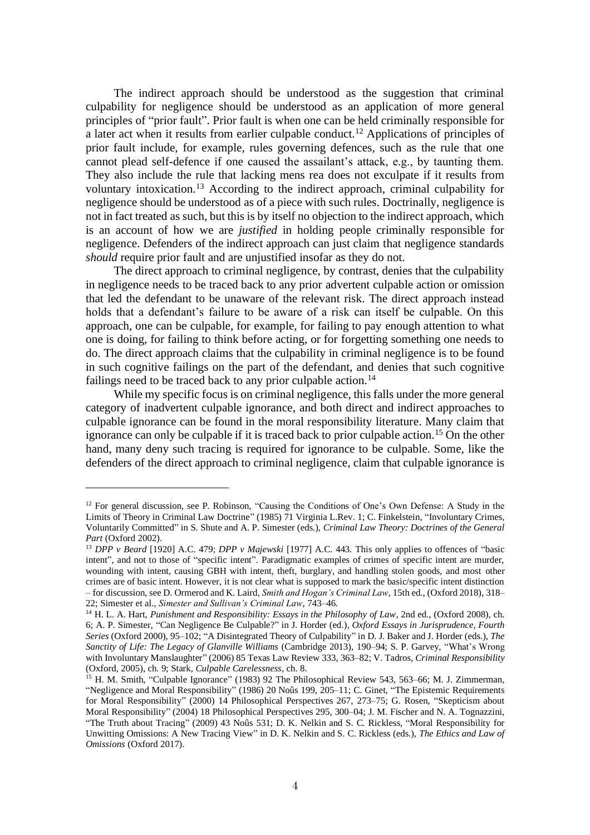The indirect approach should be understood as the suggestion that criminal culpability for negligence should be understood as an application of more general principles of "prior fault". Prior fault is when one can be held criminally responsible for a later act when it results from earlier culpable conduct.<sup>12</sup> Applications of principles of prior fault include, for example, rules governing defences, such as the rule that one cannot plead self-defence if one caused the assailant's attack, e.g., by taunting them. They also include the rule that lacking mens rea does not exculpate if it results from voluntary intoxication.<sup>13</sup> According to the indirect approach, criminal culpability for negligence should be understood as of a piece with such rules. Doctrinally, negligence is not in fact treated as such, but this is by itself no objection to the indirect approach, which is an account of how we are *justified* in holding people criminally responsible for negligence. Defenders of the indirect approach can just claim that negligence standards *should* require prior fault and are unjustified insofar as they do not.

The direct approach to criminal negligence, by contrast, denies that the culpability in negligence needs to be traced back to any prior advertent culpable action or omission that led the defendant to be unaware of the relevant risk. The direct approach instead holds that a defendant's failure to be aware of a risk can itself be culpable. On this approach, one can be culpable, for example, for failing to pay enough attention to what one is doing, for failing to think before acting, or for forgetting something one needs to do. The direct approach claims that the culpability in criminal negligence is to be found in such cognitive failings on the part of the defendant, and denies that such cognitive failings need to be traced back to any prior culpable action.<sup>14</sup>

While my specific focus is on criminal negligence, this falls under the more general category of inadvertent culpable ignorance, and both direct and indirect approaches to culpable ignorance can be found in the moral responsibility literature. Many claim that ignorance can only be culpable if it is traced back to prior culpable action.<sup>15</sup> On the other hand, many deny such tracing is required for ignorance to be culpable. Some, like the defenders of the direct approach to criminal negligence, claim that culpable ignorance is

<sup>&</sup>lt;sup>12</sup> For general discussion, see P. Robinson, "Causing the Conditions of One's Own Defense: A Study in the Limits of Theory in Criminal Law Doctrine" (1985) 71 Virginia L.Rev. 1; C. Finkelstein, "Involuntary Crimes, Voluntarily Committed" in S. Shute and A. P. Simester (eds.), *Criminal Law Theory: Doctrines of the General Part* (Oxford 2002).

<sup>13</sup> *DPP v Beard* [1920] A.C. 479; *DPP v Majewski* [1977] A.C. 443. This only applies to offences of "basic intent", and not to those of "specific intent". Paradigmatic examples of crimes of specific intent are murder, wounding with intent, causing GBH with intent, theft, burglary, and handling stolen goods, and most other crimes are of basic intent. However, it is not clear what is supposed to mark the basic/specific intent distinction – for discussion, see D. Ormerod and K. Laird, *Smith and Hogan's Criminal Law*, 15th ed., (Oxford 2018), 318– 22; Simester et al., *Simester and Sullivan's Criminal Law*, 743–46.

<sup>&</sup>lt;sup>14</sup> H. L. A. Hart, *Punishment and Responsibility: Essays in the Philosophy of Law*, 2nd ed., (Oxford 2008), ch. 6; A. P. Simester, "Can Negligence Be Culpable?" in J. Horder (ed.), *Oxford Essays in Jurisprudence, Fourth Series* (Oxford 2000), 95–102; "A Disintegrated Theory of Culpability" in D. J. Baker and J. Horder (eds.), *The Sanctity of Life: The Legacy of Glanville Williams* (Cambridge 2013), 190–94; S. P. Garvey, "What's Wrong with Involuntary Manslaughter" (2006) 85 Texas Law Review 333, 363–82; V. Tadros, *Criminal Responsibility* (Oxford, 2005), ch. 9; Stark, *Culpable Carelessness*, ch. 8.

<sup>&</sup>lt;sup>15</sup> H. M. Smith, "Culpable Ignorance" (1983) 92 The Philosophical Review 543, 563–66; M. J. Zimmerman, "Negligence and Moral Responsibility" (1986) 20 Noûs 199, 205–11; C. Ginet, "The Epistemic Requirements for Moral Responsibility" (2000) 14 Philosophical Perspectives 267, 273–75; G. Rosen, "Skepticism about Moral Responsibility" (2004) 18 Philosophical Perspectives 295, 300–04; J. M. Fischer and N. A. Tognazzini, "The Truth about Tracing" (2009) 43 Noûs 531; D. K. Nelkin and S. C. Rickless, "Moral Responsibility for Unwitting Omissions: A New Tracing View" in D. K. Nelkin and S. C. Rickless (eds.), *The Ethics and Law of Omissions* (Oxford 2017).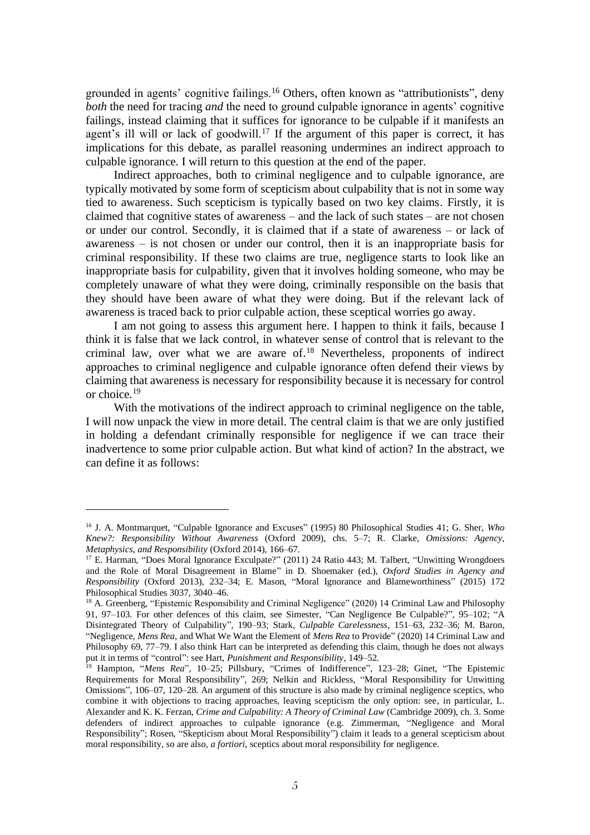grounded in agents' cognitive failings.<sup>16</sup> Others, often known as "attributionists", deny *both* the need for tracing *and* the need to ground culpable ignorance in agents' cognitive failings, instead claiming that it suffices for ignorance to be culpable if it manifests an agent's ill will or lack of goodwill.<sup>17</sup> If the argument of this paper is correct, it has implications for this debate, as parallel reasoning undermines an indirect approach to culpable ignorance. I will return to this question at the end of the paper.

Indirect approaches, both to criminal negligence and to culpable ignorance, are typically motivated by some form of scepticism about culpability that is not in some way tied to awareness. Such scepticism is typically based on two key claims. Firstly, it is claimed that cognitive states of awareness – and the lack of such states – are not chosen or under our control. Secondly, it is claimed that if a state of awareness – or lack of awareness – is not chosen or under our control, then it is an inappropriate basis for criminal responsibility. If these two claims are true, negligence starts to look like an inappropriate basis for culpability, given that it involves holding someone, who may be completely unaware of what they were doing, criminally responsible on the basis that they should have been aware of what they were doing. But if the relevant lack of awareness is traced back to prior culpable action, these sceptical worries go away.

I am not going to assess this argument here. I happen to think it fails, because I think it is false that we lack control, in whatever sense of control that is relevant to the criminal law, over what we are aware of. <sup>18</sup> Nevertheless, proponents of indirect approaches to criminal negligence and culpable ignorance often defend their views by claiming that awareness is necessary for responsibility because it is necessary for control or choice.<sup>19</sup>

With the motivations of the indirect approach to criminal negligence on the table, I will now unpack the view in more detail. The central claim is that we are only justified in holding a defendant criminally responsible for negligence if we can trace their inadvertence to some prior culpable action. But what kind of action? In the abstract, we can define it as follows:

<sup>16</sup> J. A. Montmarquet, "Culpable Ignorance and Excuses" (1995) 80 Philosophical Studies 41; G. Sher, *Who Knew?: Responsibility Without Awareness* (Oxford 2009), chs. 5–7; R. Clarke, *Omissions: Agency, Metaphysics, and Responsibility* (Oxford 2014), 166–67.

<sup>&</sup>lt;sup>17</sup> E. Harman, "Does Moral Ignorance Exculpate?" (2011) 24 Ratio 443; M. Talbert, "Unwitting Wrongdoers and the Role of Moral Disagreement in Blame" in D. Shoemaker (ed.), *Oxford Studies in Agency and Responsibility* (Oxford 2013), 232–34; E. Mason, "Moral Ignorance and Blameworthiness" (2015) 172 Philosophical Studies 3037, 3040–46.

<sup>&</sup>lt;sup>18</sup> A. Greenberg, "Epistemic Responsibility and Criminal Negligence" (2020) 14 Criminal Law and Philosophy 91, 97–103. For other defences of this claim, see Simester, "Can Negligence Be Culpable?", 95–102; "A Disintegrated Theory of Culpability", 190–93; Stark, *Culpable Carelessness*, 151–63, 232–36; M. Baron, "Negligence, *Mens Rea*, and What We Want the Element of *Mens Rea* to Provide" (2020) 14 Criminal Law and Philosophy 69, 77–79. I also think Hart can be interpreted as defending this claim, though he does not always put it in terms of "control": see Hart, *Punishment and Responsibility*, 149–52.

<sup>19</sup> Hampton, "*Mens Rea*", 10–25; Pillsbury, "Crimes of Indifference", 123–28; Ginet, "The Epistemic Requirements for Moral Responsibility", 269; Nelkin and Rickless, "Moral Responsibility for Unwitting Omissions", 106–07, 120–28. An argument of this structure is also made by criminal negligence sceptics, who combine it with objections to tracing approaches, leaving scepticism the only option: see, in particular, L. Alexander and K. K. Ferzan, *Crime and Culpability: A Theory of Criminal Law* (Cambridge 2009), ch. 3. Some defenders of indirect approaches to culpable ignorance (e.g. Zimmerman, "Negligence and Moral Responsibility"; Rosen, "Skepticism about Moral Responsibility") claim it leads to a general scepticism about moral responsibility, so are also, *a fortiori*, sceptics about moral responsibility for negligence.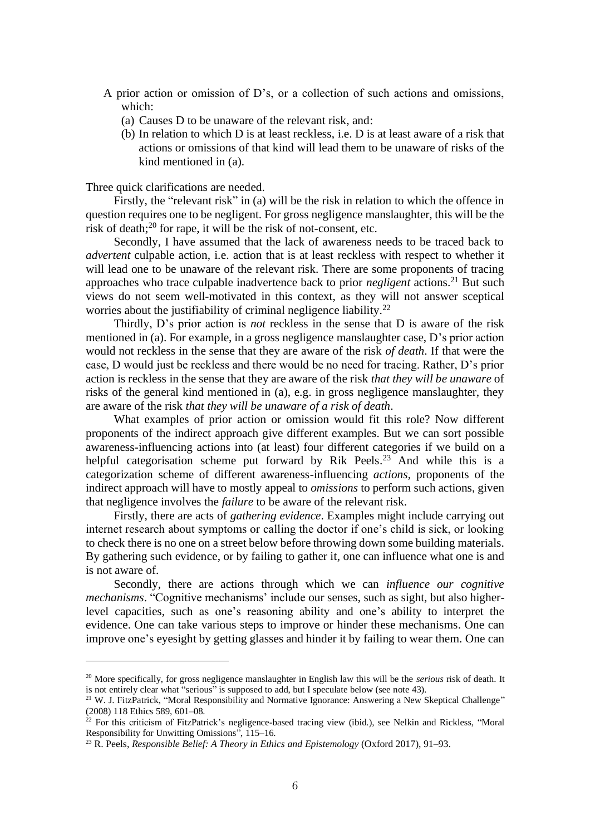- A prior action or omission of D's, or a collection of such actions and omissions, which:
	- (a) Causes D to be unaware of the relevant risk, and:
	- (b) In relation to which D is at least reckless, i.e. D is at least aware of a risk that actions or omissions of that kind will lead them to be unaware of risks of the kind mentioned in (a).

Three quick clarifications are needed.

Firstly, the "relevant risk" in (a) will be the risk in relation to which the offence in question requires one to be negligent. For gross negligence manslaughter, this will be the risk of death;<sup>20</sup> for rape, it will be the risk of not-consent, etc.

Secondly, I have assumed that the lack of awareness needs to be traced back to *advertent* culpable action, i.e. action that is at least reckless with respect to whether it will lead one to be unaware of the relevant risk. There are some proponents of tracing approaches who trace culpable inadvertence back to prior *negligent* actions.<sup>21</sup> But such views do not seem well-motivated in this context, as they will not answer sceptical worries about the justifiability of criminal negligence liability.<sup>22</sup>

Thirdly, D's prior action is *not* reckless in the sense that D is aware of the risk mentioned in (a). For example, in a gross negligence manslaughter case, D's prior action would not reckless in the sense that they are aware of the risk *of death*. If that were the case, D would just be reckless and there would be no need for tracing. Rather, D's prior action is reckless in the sense that they are aware of the risk *that they will be unaware* of risks of the general kind mentioned in (a), e.g. in gross negligence manslaughter, they are aware of the risk *that they will be unaware of a risk of death*.

What examples of prior action or omission would fit this role? Now different proponents of the indirect approach give different examples. But we can sort possible awareness-influencing actions into (at least) four different categories if we build on a helpful categorisation scheme put forward by Rik Peels.<sup>23</sup> And while this is a categorization scheme of different awareness-influencing *actions*, proponents of the indirect approach will have to mostly appeal to *omissions* to perform such actions, given that negligence involves the *failure* to be aware of the relevant risk.

Firstly, there are acts of *gathering evidence*. Examples might include carrying out internet research about symptoms or calling the doctor if one's child is sick, or looking to check there is no one on a street below before throwing down some building materials. By gathering such evidence, or by failing to gather it, one can influence what one is and is not aware of.

Secondly, there are actions through which we can *influence our cognitive mechanisms*. "Cognitive mechanisms' include our senses, such as sight, but also higherlevel capacities, such as one's reasoning ability and one's ability to interpret the evidence. One can take various steps to improve or hinder these mechanisms. One can improve one's eyesight by getting glasses and hinder it by failing to wear them. One can

<sup>&</sup>lt;sup>20</sup> More specifically, for gross negligence manslaughter in English law this will be the *serious* risk of death. It is not entirely clear what "serious" is supposed to add, but I speculate below (see note 43).

<sup>&</sup>lt;sup>21</sup> W. J. FitzPatrick, "Moral Responsibility and Normative Ignorance: Answering a New Skeptical Challenge" (2008) 118 Ethics 589, 601–08.

 $^{22}$  For this criticism of FitzPatrick's negligence-based tracing view (ibid.), see Nelkin and Rickless, "Moral Responsibility for Unwitting Omissions", 115–16.

<sup>23</sup> R. Peels, *Responsible Belief: A Theory in Ethics and Epistemology* (Oxford 2017), 91–93.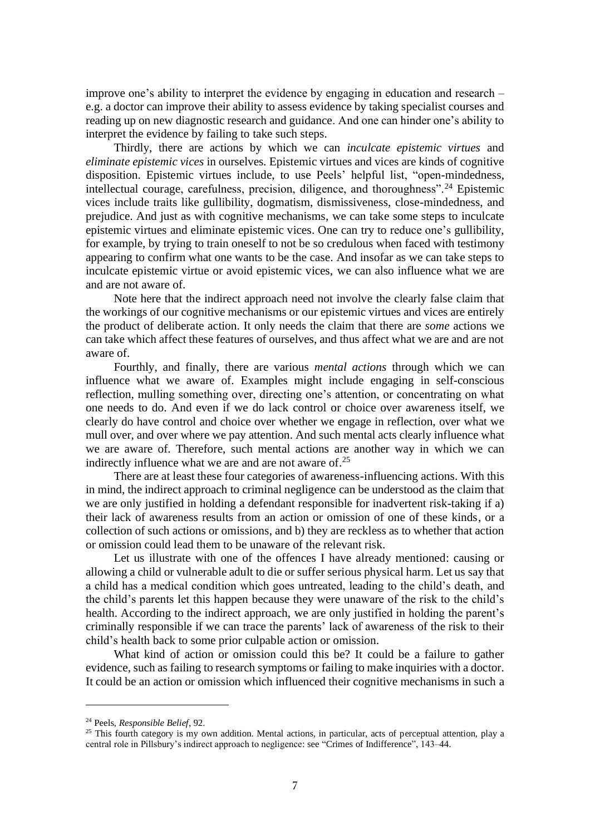improve one's ability to interpret the evidence by engaging in education and research – e.g. a doctor can improve their ability to assess evidence by taking specialist courses and reading up on new diagnostic research and guidance. And one can hinder one's ability to interpret the evidence by failing to take such steps.

Thirdly, there are actions by which we can *inculcate epistemic virtues* and *eliminate epistemic vices* in ourselves*.* Epistemic virtues and vices are kinds of cognitive disposition. Epistemic virtues include, to use Peels' helpful list, "open-mindedness, intellectual courage, carefulness, precision, diligence, and thoroughness".<sup>24</sup> Epistemic vices include traits like gullibility, dogmatism, dismissiveness, close-mindedness, and prejudice. And just as with cognitive mechanisms, we can take some steps to inculcate epistemic virtues and eliminate epistemic vices. One can try to reduce one's gullibility, for example, by trying to train oneself to not be so credulous when faced with testimony appearing to confirm what one wants to be the case. And insofar as we can take steps to inculcate epistemic virtue or avoid epistemic vices, we can also influence what we are and are not aware of.

Note here that the indirect approach need not involve the clearly false claim that the workings of our cognitive mechanisms or our epistemic virtues and vices are entirely the product of deliberate action. It only needs the claim that there are *some* actions we can take which affect these features of ourselves, and thus affect what we are and are not aware of.

Fourthly, and finally, there are various *mental actions* through which we can influence what we aware of. Examples might include engaging in self-conscious reflection, mulling something over, directing one's attention, or concentrating on what one needs to do. And even if we do lack control or choice over awareness itself, we clearly do have control and choice over whether we engage in reflection, over what we mull over, and over where we pay attention. And such mental acts clearly influence what we are aware of. Therefore, such mental actions are another way in which we can indirectly influence what we are and are not aware of.<sup>25</sup>

There are at least these four categories of awareness-influencing actions. With this in mind, the indirect approach to criminal negligence can be understood as the claim that we are only justified in holding a defendant responsible for inadvertent risk-taking if a) their lack of awareness results from an action or omission of one of these kinds, or a collection of such actions or omissions, and b) they are reckless as to whether that action or omission could lead them to be unaware of the relevant risk.

Let us illustrate with one of the offences I have already mentioned: causing or allowing a child or vulnerable adult to die or suffer serious physical harm. Let us say that a child has a medical condition which goes untreated, leading to the child's death, and the child's parents let this happen because they were unaware of the risk to the child's health. According to the indirect approach, we are only justified in holding the parent's criminally responsible if we can trace the parents' lack of awareness of the risk to their child's health back to some prior culpable action or omission.

What kind of action or omission could this be? It could be a failure to gather evidence, such as failing to research symptoms or failing to make inquiries with a doctor. It could be an action or omission which influenced their cognitive mechanisms in such a

<sup>24</sup> Peels, *Responsible Belief*, 92.

<sup>&</sup>lt;sup>25</sup> This fourth category is my own addition. Mental actions, in particular, acts of perceptual attention, play a central role in Pillsbury's indirect approach to negligence: see "Crimes of Indifference", 143–44.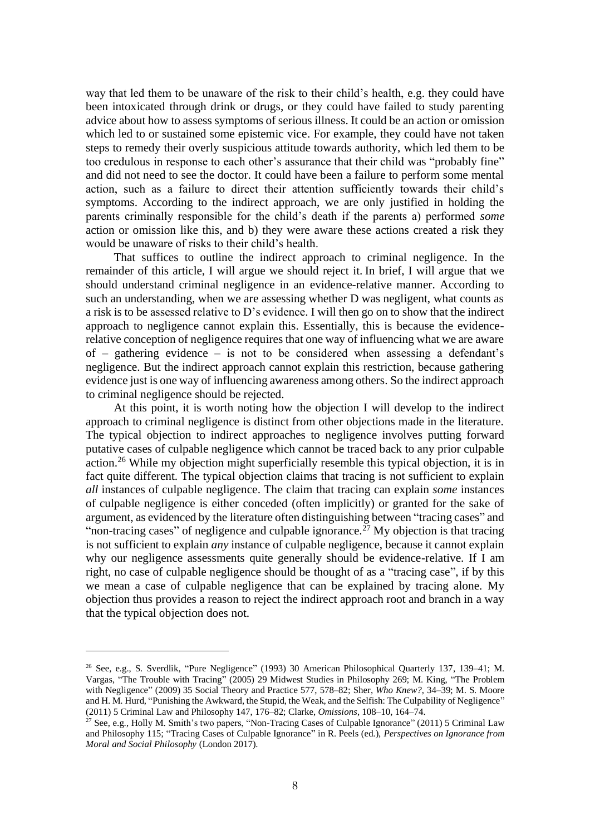way that led them to be unaware of the risk to their child's health, e.g. they could have been intoxicated through drink or drugs, or they could have failed to study parenting advice about how to assess symptoms of serious illness. It could be an action or omission which led to or sustained some epistemic vice. For example, they could have not taken steps to remedy their overly suspicious attitude towards authority, which led them to be too credulous in response to each other's assurance that their child was "probably fine" and did not need to see the doctor. It could have been a failure to perform some mental action, such as a failure to direct their attention sufficiently towards their child's symptoms. According to the indirect approach, we are only justified in holding the parents criminally responsible for the child's death if the parents a) performed *some* action or omission like this, and b) they were aware these actions created a risk they would be unaware of risks to their child's health.

That suffices to outline the indirect approach to criminal negligence. In the remainder of this article, I will argue we should reject it. In brief, I will argue that we should understand criminal negligence in an evidence-relative manner. According to such an understanding, when we are assessing whether D was negligent, what counts as a risk is to be assessed relative to D's evidence. I will then go on to show that the indirect approach to negligence cannot explain this. Essentially, this is because the evidencerelative conception of negligence requires that one way of influencing what we are aware of – gathering evidence – is not to be considered when assessing a defendant's negligence. But the indirect approach cannot explain this restriction, because gathering evidence just is one way of influencing awareness among others. So the indirect approach to criminal negligence should be rejected.

At this point, it is worth noting how the objection I will develop to the indirect approach to criminal negligence is distinct from other objections made in the literature. The typical objection to indirect approaches to negligence involves putting forward putative cases of culpable negligence which cannot be traced back to any prior culpable action.<sup>26</sup> While my objection might superficially resemble this typical objection, it is in fact quite different. The typical objection claims that tracing is not sufficient to explain *all* instances of culpable negligence. The claim that tracing can explain *some* instances of culpable negligence is either conceded (often implicitly) or granted for the sake of argument, as evidenced by the literature often distinguishing between "tracing cases" and "non-tracing cases" of negligence and culpable ignorance.<sup>27</sup> My objection is that tracing is not sufficient to explain *any* instance of culpable negligence, because it cannot explain why our negligence assessments quite generally should be evidence-relative. If I am right, no case of culpable negligence should be thought of as a "tracing case", if by this we mean a case of culpable negligence that can be explained by tracing alone. My objection thus provides a reason to reject the indirect approach root and branch in a way that the typical objection does not.

<sup>26</sup> See, e.g., S. Sverdlik, "Pure Negligence" (1993) 30 American Philosophical Quarterly 137, 139–41; M. Vargas, "The Trouble with Tracing" (2005) 29 Midwest Studies in Philosophy 269; M. King, "The Problem with Negligence" (2009) 35 Social Theory and Practice 577, 578–82; Sher, *Who Knew?*, 34–39; M. S. Moore and H. M. Hurd, "Punishing the Awkward, the Stupid, the Weak, and the Selfish: The Culpability of Negligence" (2011) 5 Criminal Law and Philosophy 147, 176–82; Clarke, *Omissions*, 108–10, 164–74.

<sup>&</sup>lt;sup>27</sup> See, e.g., Holly M. Smith's two papers, "Non-Tracing Cases of Culpable Ignorance" (2011) 5 Criminal Law and Philosophy 115; "Tracing Cases of Culpable Ignorance" in R. Peels (ed.), *Perspectives on Ignorance from Moral and Social Philosophy* (London 2017).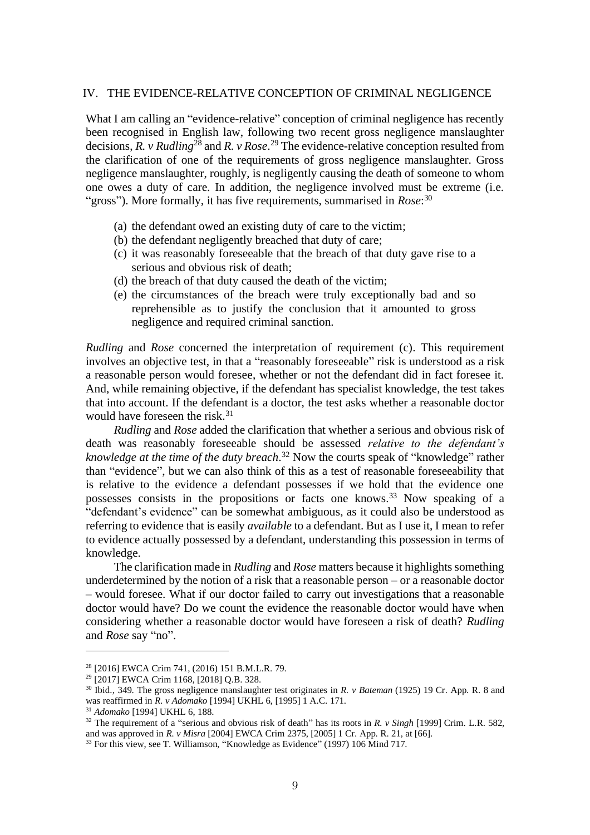#### IV. THE EVIDENCE-RELATIVE CONCEPTION OF CRIMINAL NEGLIGENCE

What I am calling an "evidence-relative" conception of criminal negligence has recently been recognised in English law, following two recent gross negligence manslaughter decisions, *R. v Rudling*<sup>28</sup> and *R. v Rose*. <sup>29</sup> The evidence-relative conception resulted from the clarification of one of the requirements of gross negligence manslaughter. Gross negligence manslaughter, roughly, is negligently causing the death of someone to whom one owes a duty of care. In addition, the negligence involved must be extreme (i.e. "gross"). More formally, it has five requirements, summarised in *Rose*:<sup>30</sup>

- (a) the defendant owed an existing duty of care to the victim;
- (b) the defendant negligently breached that duty of care;
- (c) it was reasonably foreseeable that the breach of that duty gave rise to a serious and obvious risk of death;
- (d) the breach of that duty caused the death of the victim;
- (e) the circumstances of the breach were truly exceptionally bad and so reprehensible as to justify the conclusion that it amounted to gross negligence and required criminal sanction.

*Rudling* and *Rose* concerned the interpretation of requirement (c). This requirement involves an objective test, in that a "reasonably foreseeable" risk is understood as a risk a reasonable person would foresee, whether or not the defendant did in fact foresee it. And, while remaining objective, if the defendant has specialist knowledge, the test takes that into account. If the defendant is a doctor, the test asks whether a reasonable doctor would have foreseen the risk.<sup>31</sup>

*Rudling* and *Rose* added the clarification that whether a serious and obvious risk of death was reasonably foreseeable should be assessed *relative to the defendant's knowledge at the time of the duty breach*. <sup>32</sup> Now the courts speak of "knowledge" rather than "evidence", but we can also think of this as a test of reasonable foreseeability that is relative to the evidence a defendant possesses if we hold that the evidence one possesses consists in the propositions or facts one knows.<sup>33</sup> Now speaking of a "defendant's evidence" can be somewhat ambiguous, as it could also be understood as referring to evidence that is easily *available* to a defendant. But as I use it, I mean to refer to evidence actually possessed by a defendant, understanding this possession in terms of knowledge.

The clarification made in *Rudling* and *Rose* matters because it highlights something underdetermined by the notion of a risk that a reasonable person – or a reasonable doctor – would foresee. What if our doctor failed to carry out investigations that a reasonable doctor would have? Do we count the evidence the reasonable doctor would have when considering whether a reasonable doctor would have foreseen a risk of death? *Rudling* and *Rose* say "no".

<sup>28</sup> [2016] EWCA Crim 741, (2016) 151 B.M.L.R. 79.

<sup>29</sup> [2017] EWCA Crim 1168, [2018] Q.B. 328.

<sup>30</sup> Ibid., 349. The gross negligence manslaughter test originates in *R. v Bateman* (1925) 19 Cr. App. R. 8 and was reaffirmed in *R. v Adomako* [1994] UKHL 6, [1995] 1 A.C. 171.

<sup>31</sup> *Adomako* [1994] UKHL 6, 188.

<sup>32</sup> The requirement of a "serious and obvious risk of death" has its roots in *R. v Singh* [1999] Crim. L.R. 582, and was approved in *R. v Misra* [2004] EWCA Crim 2375, [2005] 1 Cr. App. R. 21, at [66].

<sup>&</sup>lt;sup>33</sup> For this view, see T. Williamson, "Knowledge as Evidence" (1997) 106 Mind 717.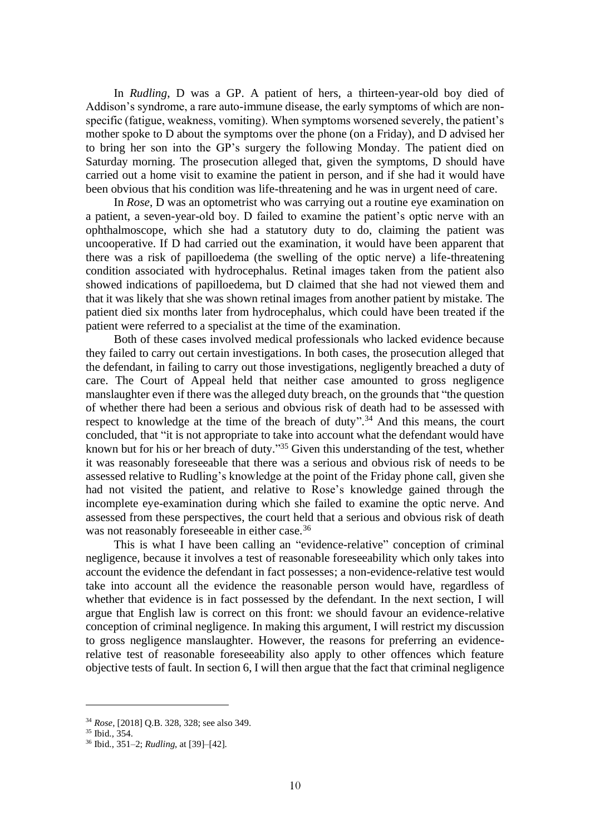In *Rudling*, D was a GP. A patient of hers, a thirteen-year-old boy died of Addison's syndrome, a rare auto-immune disease, the early symptoms of which are nonspecific (fatigue, weakness, vomiting). When symptoms worsened severely, the patient's mother spoke to D about the symptoms over the phone (on a Friday), and D advised her to bring her son into the GP's surgery the following Monday. The patient died on Saturday morning. The prosecution alleged that, given the symptoms, D should have carried out a home visit to examine the patient in person, and if she had it would have been obvious that his condition was life-threatening and he was in urgent need of care.

In *Rose*, D was an optometrist who was carrying out a routine eye examination on a patient, a seven-year-old boy. D failed to examine the patient's optic nerve with an ophthalmoscope, which she had a statutory duty to do, claiming the patient was uncooperative. If D had carried out the examination, it would have been apparent that there was a risk of papilloedema (the swelling of the optic nerve) a life-threatening condition associated with hydrocephalus. Retinal images taken from the patient also showed indications of papilloedema, but D claimed that she had not viewed them and that it was likely that she was shown retinal images from another patient by mistake. The patient died six months later from hydrocephalus, which could have been treated if the patient were referred to a specialist at the time of the examination.

Both of these cases involved medical professionals who lacked evidence because they failed to carry out certain investigations. In both cases, the prosecution alleged that the defendant, in failing to carry out those investigations, negligently breached a duty of care. The Court of Appeal held that neither case amounted to gross negligence manslaughter even if there was the alleged duty breach, on the grounds that "the question of whether there had been a serious and obvious risk of death had to be assessed with respect to knowledge at the time of the breach of duty".<sup>34</sup> And this means, the court concluded, that "it is not appropriate to take into account what the defendant would have known but for his or her breach of duty."<sup>35</sup> Given this understanding of the test, whether it was reasonably foreseeable that there was a serious and obvious risk of needs to be assessed relative to Rudling's knowledge at the point of the Friday phone call, given she had not visited the patient, and relative to Rose's knowledge gained through the incomplete eye-examination during which she failed to examine the optic nerve. And assessed from these perspectives, the court held that a serious and obvious risk of death was not reasonably foreseeable in either case.<sup>36</sup>

This is what I have been calling an "evidence-relative" conception of criminal negligence, because it involves a test of reasonable foreseeability which only takes into account the evidence the defendant in fact possesses; a non-evidence-relative test would take into account all the evidence the reasonable person would have, regardless of whether that evidence is in fact possessed by the defendant. In the next section, I will argue that English law is correct on this front: we should favour an evidence-relative conception of criminal negligence. In making this argument, I will restrict my discussion to gross negligence manslaughter. However, the reasons for preferring an evidencerelative test of reasonable foreseeability also apply to other offences which feature objective tests of fault. In section 6, I will then argue that the fact that criminal negligence

<sup>34</sup> *Rose*, [2018] Q.B. 328, 328; see also 349.

<sup>35</sup> Ibid., 354.

<sup>36</sup> Ibid., 351–2; *Rudling*, at [39]–[42].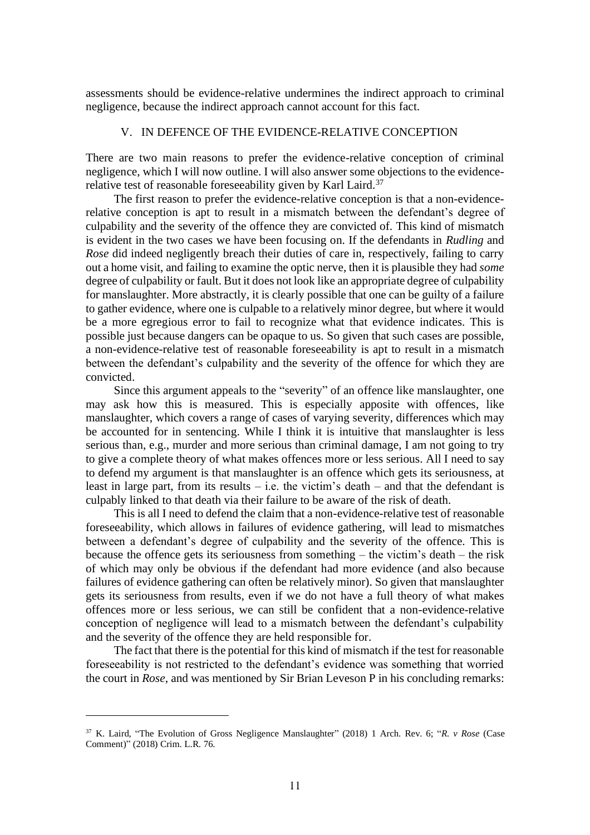assessments should be evidence-relative undermines the indirect approach to criminal negligence, because the indirect approach cannot account for this fact.

#### V. IN DEFENCE OF THE EVIDENCE-RELATIVE CONCEPTION

There are two main reasons to prefer the evidence-relative conception of criminal negligence, which I will now outline. I will also answer some objections to the evidencerelative test of reasonable foreseeability given by Karl Laird.<sup>37</sup>

The first reason to prefer the evidence-relative conception is that a non-evidencerelative conception is apt to result in a mismatch between the defendant's degree of culpability and the severity of the offence they are convicted of. This kind of mismatch is evident in the two cases we have been focusing on. If the defendants in *Rudling* and *Rose* did indeed negligently breach their duties of care in, respectively, failing to carry out a home visit, and failing to examine the optic nerve, then it is plausible they had *some* degree of culpability or fault. But it does not look like an appropriate degree of culpability for manslaughter. More abstractly, it is clearly possible that one can be guilty of a failure to gather evidence, where one is culpable to a relatively minor degree, but where it would be a more egregious error to fail to recognize what that evidence indicates. This is possible just because dangers can be opaque to us. So given that such cases are possible, a non-evidence-relative test of reasonable foreseeability is apt to result in a mismatch between the defendant's culpability and the severity of the offence for which they are convicted.

Since this argument appeals to the "severity" of an offence like manslaughter, one may ask how this is measured. This is especially apposite with offences, like manslaughter, which covers a range of cases of varying severity, differences which may be accounted for in sentencing. While I think it is intuitive that manslaughter is less serious than, e.g., murder and more serious than criminal damage, I am not going to try to give a complete theory of what makes offences more or less serious. All I need to say to defend my argument is that manslaughter is an offence which gets its seriousness, at least in large part, from its results – i.e. the victim's death – and that the defendant is culpably linked to that death via their failure to be aware of the risk of death.

This is all I need to defend the claim that a non-evidence-relative test of reasonable foreseeability, which allows in failures of evidence gathering, will lead to mismatches between a defendant's degree of culpability and the severity of the offence. This is because the offence gets its seriousness from something – the victim's death – the risk of which may only be obvious if the defendant had more evidence (and also because failures of evidence gathering can often be relatively minor). So given that manslaughter gets its seriousness from results, even if we do not have a full theory of what makes offences more or less serious, we can still be confident that a non-evidence-relative conception of negligence will lead to a mismatch between the defendant's culpability and the severity of the offence they are held responsible for.

The fact that there is the potential for this kind of mismatch if the test for reasonable foreseeability is not restricted to the defendant's evidence was something that worried the court in *Rose*, and was mentioned by Sir Brian Leveson P in his concluding remarks:

<sup>37</sup> K. Laird, "The Evolution of Gross Negligence Manslaughter" (2018) 1 Arch. Rev. 6; "*R. v Rose* (Case Comment)" (2018) Crim. L.R. 76.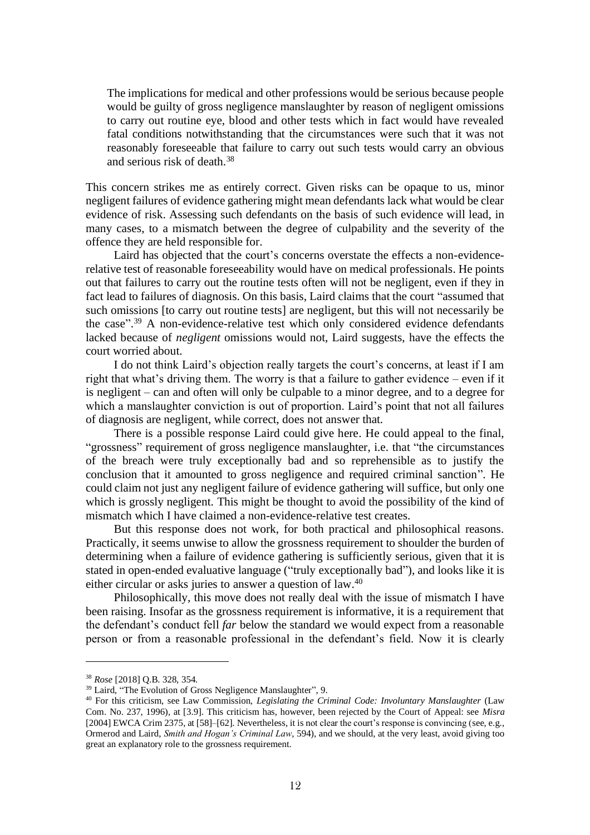The implications for medical and other professions would be serious because people would be guilty of gross negligence manslaughter by reason of negligent omissions to carry out routine eye, blood and other tests which in fact would have revealed fatal conditions notwithstanding that the circumstances were such that it was not reasonably foreseeable that failure to carry out such tests would carry an obvious and serious risk of death.<sup>38</sup>

This concern strikes me as entirely correct. Given risks can be opaque to us, minor negligent failures of evidence gathering might mean defendants lack what would be clear evidence of risk. Assessing such defendants on the basis of such evidence will lead, in many cases, to a mismatch between the degree of culpability and the severity of the offence they are held responsible for.

Laird has objected that the court's concerns overstate the effects a non-evidencerelative test of reasonable foreseeability would have on medical professionals. He points out that failures to carry out the routine tests often will not be negligent, even if they in fact lead to failures of diagnosis. On this basis, Laird claims that the court "assumed that such omissions [to carry out routine tests] are negligent, but this will not necessarily be the case".<sup>39</sup> A non-evidence-relative test which only considered evidence defendants lacked because of *negligent* omissions would not, Laird suggests, have the effects the court worried about.

I do not think Laird's objection really targets the court's concerns, at least if I am right that what's driving them. The worry is that a failure to gather evidence – even if it is negligent – can and often will only be culpable to a minor degree, and to a degree for which a manslaughter conviction is out of proportion. Laird's point that not all failures of diagnosis are negligent, while correct, does not answer that.

There is a possible response Laird could give here. He could appeal to the final, "grossness" requirement of gross negligence manslaughter, i.e. that "the circumstances of the breach were truly exceptionally bad and so reprehensible as to justify the conclusion that it amounted to gross negligence and required criminal sanction". He could claim not just any negligent failure of evidence gathering will suffice, but only one which is grossly negligent. This might be thought to avoid the possibility of the kind of mismatch which I have claimed a non-evidence-relative test creates.

But this response does not work, for both practical and philosophical reasons. Practically, it seems unwise to allow the grossness requirement to shoulder the burden of determining when a failure of evidence gathering is sufficiently serious, given that it is stated in open-ended evaluative language ("truly exceptionally bad"), and looks like it is either circular or asks juries to answer a question of law.<sup>40</sup>

Philosophically, this move does not really deal with the issue of mismatch I have been raising. Insofar as the grossness requirement is informative, it is a requirement that the defendant's conduct fell *far* below the standard we would expect from a reasonable person or from a reasonable professional in the defendant's field. Now it is clearly

<sup>38</sup> *Rose* [2018] Q.B. 328, 354.

<sup>&</sup>lt;sup>39</sup> Laird, "The Evolution of Gross Negligence Manslaughter", 9.

<sup>40</sup> For this criticism, see Law Commission, *Legislating the Criminal Code: Involuntary Manslaughter* (Law Com. No. 237, 1996), at [3.9]. This criticism has, however, been rejected by the Court of Appeal: see *Misra* [2004] EWCA Crim 2375, at [58]–[62]. Nevertheless, it is not clear the court's response is convincing (see, e.g., Ormerod and Laird, *Smith and Hogan's Criminal Law*, 594), and we should, at the very least, avoid giving too great an explanatory role to the grossness requirement.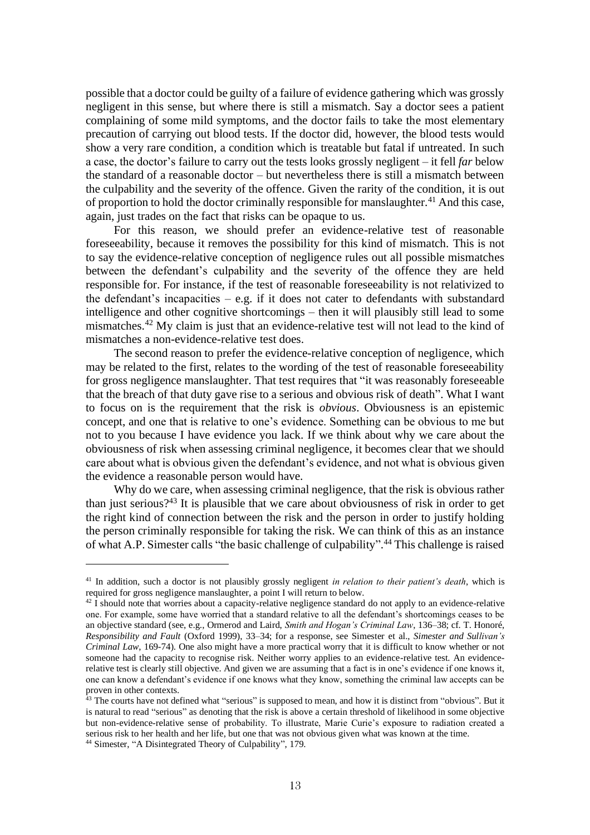possible that a doctor could be guilty of a failure of evidence gathering which was grossly negligent in this sense, but where there is still a mismatch. Say a doctor sees a patient complaining of some mild symptoms, and the doctor fails to take the most elementary precaution of carrying out blood tests. If the doctor did, however, the blood tests would show a very rare condition, a condition which is treatable but fatal if untreated. In such a case, the doctor's failure to carry out the tests looks grossly negligent – it fell *far* below the standard of a reasonable doctor – but nevertheless there is still a mismatch between the culpability and the severity of the offence. Given the rarity of the condition, it is out of proportion to hold the doctor criminally responsible for manslaughter.<sup>41</sup> And this case, again, just trades on the fact that risks can be opaque to us.

For this reason, we should prefer an evidence-relative test of reasonable foreseeability, because it removes the possibility for this kind of mismatch. This is not to say the evidence-relative conception of negligence rules out all possible mismatches between the defendant's culpability and the severity of the offence they are held responsible for. For instance, if the test of reasonable foreseeability is not relativized to the defendant's incapacities – e.g. if it does not cater to defendants with substandard intelligence and other cognitive shortcomings – then it will plausibly still lead to some mismatches.<sup>42</sup> My claim is just that an evidence-relative test will not lead to the kind of mismatches a non-evidence-relative test does.

The second reason to prefer the evidence-relative conception of negligence, which may be related to the first, relates to the wording of the test of reasonable foreseeability for gross negligence manslaughter. That test requires that "it was reasonably foreseeable that the breach of that duty gave rise to a serious and obvious risk of death". What I want to focus on is the requirement that the risk is *obvious*. Obviousness is an epistemic concept, and one that is relative to one's evidence. Something can be obvious to me but not to you because I have evidence you lack. If we think about why we care about the obviousness of risk when assessing criminal negligence, it becomes clear that we should care about what is obvious given the defendant's evidence, and not what is obvious given the evidence a reasonable person would have.

Why do we care, when assessing criminal negligence, that the risk is obvious rather than just serious?<sup>43</sup> It is plausible that we care about obviousness of risk in order to get the right kind of connection between the risk and the person in order to justify holding the person criminally responsible for taking the risk. We can think of this as an instance of what A.P. Simester calls "the basic challenge of culpability".<sup>44</sup> This challenge is raised

<sup>41</sup> In addition, such a doctor is not plausibly grossly negligent *in relation to their patient's death*, which is required for gross negligence manslaughter, a point I will return to below.

 $42 \hat{I}$  should note that worries about a capacity-relative negligence standard do not apply to an evidence-relative one. For example, some have worried that a standard relative to all the defendant's shortcomings ceases to be an objective standard (see, e.g., Ormerod and Laird, *Smith and Hogan's Criminal Law*, 136–38; cf. T. Honoré, *Responsibility and Fault* (Oxford 1999), 33–34; for a response, see Simester et al., *Simester and Sullivan's Criminal Law*, 169-74). One also might have a more practical worry that it is difficult to know whether or not someone had the capacity to recognise risk. Neither worry applies to an evidence-relative test. An evidencerelative test is clearly still objective. And given we are assuming that a fact is in one's evidence if one knows it, one can know a defendant's evidence if one knows what they know, something the criminal law accepts can be proven in other contexts.

 $43$  The courts have not defined what "serious" is supposed to mean, and how it is distinct from "obvious". But it is natural to read "serious" as denoting that the risk is above a certain threshold of likelihood in some objective but non-evidence-relative sense of probability. To illustrate, Marie Curie's exposure to radiation created a serious risk to her health and her life, but one that was not obvious given what was known at the time. <sup>44</sup> Simester, "A Disintegrated Theory of Culpability", 179.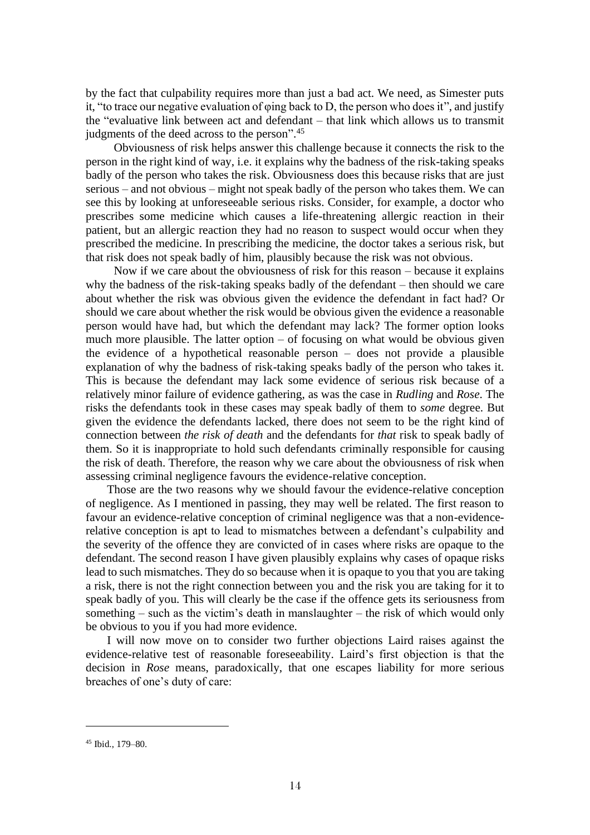by the fact that culpability requires more than just a bad act. We need, as Simester puts it, "to trace our negative evaluation of φing back to D, the person who does it", and justify the "evaluative link between act and defendant – that link which allows us to transmit judgments of the deed across to the person". 45

Obviousness of risk helps answer this challenge because it connects the risk to the person in the right kind of way, i.e. it explains why the badness of the risk-taking speaks badly of the person who takes the risk. Obviousness does this because risks that are just serious – and not obvious – might not speak badly of the person who takes them. We can see this by looking at unforeseeable serious risks. Consider, for example, a doctor who prescribes some medicine which causes a life-threatening allergic reaction in their patient, but an allergic reaction they had no reason to suspect would occur when they prescribed the medicine. In prescribing the medicine, the doctor takes a serious risk, but that risk does not speak badly of him, plausibly because the risk was not obvious.

Now if we care about the obviousness of risk for this reason – because it explains why the badness of the risk-taking speaks badly of the defendant – then should we care about whether the risk was obvious given the evidence the defendant in fact had? Or should we care about whether the risk would be obvious given the evidence a reasonable person would have had, but which the defendant may lack? The former option looks much more plausible. The latter option – of focusing on what would be obvious given the evidence of a hypothetical reasonable person – does not provide a plausible explanation of why the badness of risk-taking speaks badly of the person who takes it. This is because the defendant may lack some evidence of serious risk because of a relatively minor failure of evidence gathering, as was the case in *Rudling* and *Rose*. The risks the defendants took in these cases may speak badly of them to *some* degree. But given the evidence the defendants lacked, there does not seem to be the right kind of connection between *the risk of death* and the defendants for *that* risk to speak badly of them. So it is inappropriate to hold such defendants criminally responsible for causing the risk of death. Therefore, the reason why we care about the obviousness of risk when assessing criminal negligence favours the evidence-relative conception.

Those are the two reasons why we should favour the evidence-relative conception of negligence. As I mentioned in passing, they may well be related. The first reason to favour an evidence-relative conception of criminal negligence was that a non-evidencerelative conception is apt to lead to mismatches between a defendant's culpability and the severity of the offence they are convicted of in cases where risks are opaque to the defendant. The second reason I have given plausibly explains why cases of opaque risks lead to such mismatches. They do so because when it is opaque to you that you are taking a risk, there is not the right connection between you and the risk you are taking for it to speak badly of you. This will clearly be the case if the offence gets its seriousness from something – such as the victim's death in manslaughter – the risk of which would only be obvious to you if you had more evidence.

I will now move on to consider two further objections Laird raises against the evidence-relative test of reasonable foreseeability. Laird's first objection is that the decision in *Rose* means, paradoxically, that one escapes liability for more serious breaches of one's duty of care:

<sup>45</sup> Ibid., 179–80.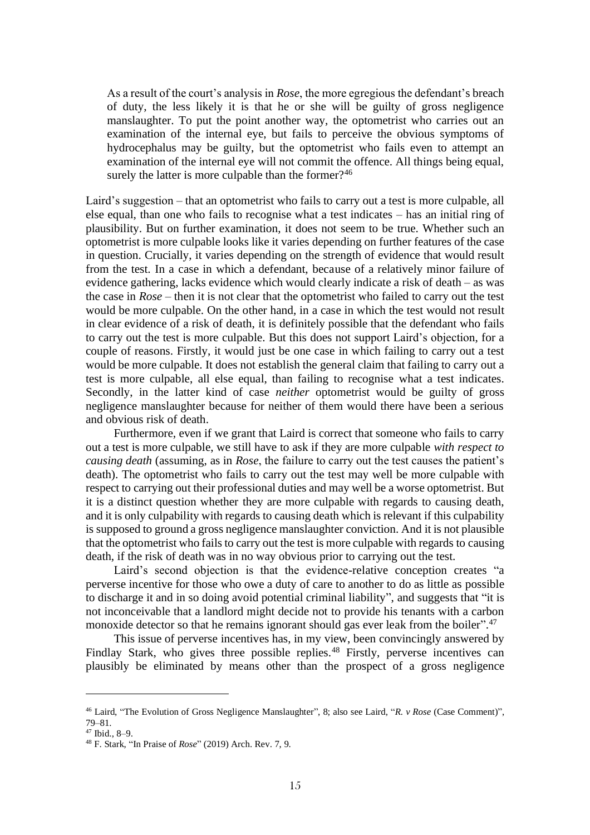As a result of the court's analysis in *Rose*, the more egregious the defendant's breach of duty, the less likely it is that he or she will be guilty of gross negligence manslaughter. To put the point another way, the optometrist who carries out an examination of the internal eye, but fails to perceive the obvious symptoms of hydrocephalus may be guilty, but the optometrist who fails even to attempt an examination of the internal eve will not commit the offence. All things being equal, surely the latter is more culpable than the former?<sup>46</sup>

Laird's suggestion – that an optometrist who fails to carry out a test is more culpable, all else equal, than one who fails to recognise what a test indicates – has an initial ring of plausibility. But on further examination, it does not seem to be true. Whether such an optometrist is more culpable looks like it varies depending on further features of the case in question. Crucially, it varies depending on the strength of evidence that would result from the test. In a case in which a defendant, because of a relatively minor failure of evidence gathering, lacks evidence which would clearly indicate a risk of death – as was the case in *Rose* – then it is not clear that the optometrist who failed to carry out the test would be more culpable. On the other hand, in a case in which the test would not result in clear evidence of a risk of death, it is definitely possible that the defendant who fails to carry out the test is more culpable. But this does not support Laird's objection, for a couple of reasons. Firstly, it would just be one case in which failing to carry out a test would be more culpable. It does not establish the general claim that failing to carry out a test is more culpable, all else equal, than failing to recognise what a test indicates. Secondly, in the latter kind of case *neither* optometrist would be guilty of gross negligence manslaughter because for neither of them would there have been a serious and obvious risk of death.

Furthermore, even if we grant that Laird is correct that someone who fails to carry out a test is more culpable, we still have to ask if they are more culpable *with respect to causing death* (assuming, as in *Rose*, the failure to carry out the test causes the patient's death). The optometrist who fails to carry out the test may well be more culpable with respect to carrying out their professional duties and may well be a worse optometrist. But it is a distinct question whether they are more culpable with regards to causing death, and it is only culpability with regards to causing death which is relevant if this culpability is supposed to ground a gross negligence manslaughter conviction. And it is not plausible that the optometrist who fails to carry out the test is more culpable with regards to causing death, if the risk of death was in no way obvious prior to carrying out the test.

Laird's second objection is that the evidence-relative conception creates "a perverse incentive for those who owe a duty of care to another to do as little as possible to discharge it and in so doing avoid potential criminal liability", and suggests that "it is not inconceivable that a landlord might decide not to provide his tenants with a carbon monoxide detector so that he remains ignorant should gas ever leak from the boiler".<sup>47</sup>

This issue of perverse incentives has, in my view, been convincingly answered by Findlay Stark, who gives three possible replies.<sup>48</sup> Firstly, perverse incentives can plausibly be eliminated by means other than the prospect of a gross negligence

<sup>46</sup> Laird, "The Evolution of Gross Negligence Manslaughter", 8; also see Laird, "*R. v Rose* (Case Comment)", 79–81.

<sup>47</sup> Ibid., 8–9.

<sup>48</sup> F. Stark, "In Praise of *Rose*" (2019) Arch. Rev. 7, 9.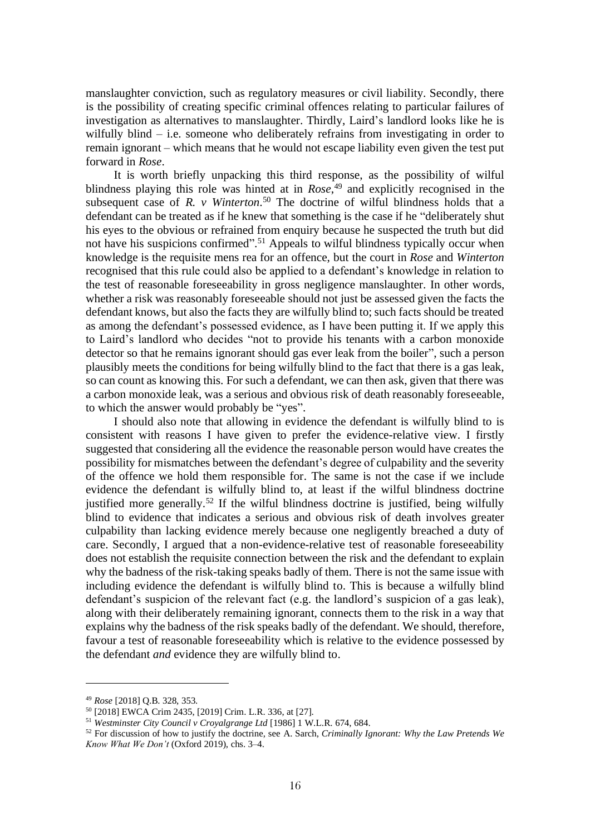manslaughter conviction, such as regulatory measures or civil liability. Secondly, there is the possibility of creating specific criminal offences relating to particular failures of investigation as alternatives to manslaughter. Thirdly, Laird's landlord looks like he is wilfully blind – i.e. someone who deliberately refrains from investigating in order to remain ignorant – which means that he would not escape liability even given the test put forward in *Rose*.

It is worth briefly unpacking this third response, as the possibility of wilful blindness playing this role was hinted at in *Rose*, <sup>49</sup> and explicitly recognised in the subsequent case of *R. v Winterton*. <sup>50</sup> The doctrine of wilful blindness holds that a defendant can be treated as if he knew that something is the case if he "deliberately shut his eyes to the obvious or refrained from enquiry because he suspected the truth but did not have his suspicions confirmed".<sup>51</sup> Appeals to wilful blindness typically occur when knowledge is the requisite mens rea for an offence, but the court in *Rose* and *Winterton* recognised that this rule could also be applied to a defendant's knowledge in relation to the test of reasonable foreseeability in gross negligence manslaughter. In other words, whether a risk was reasonably foreseeable should not just be assessed given the facts the defendant knows, but also the facts they are wilfully blind to; such facts should be treated as among the defendant's possessed evidence, as I have been putting it. If we apply this to Laird's landlord who decides "not to provide his tenants with a carbon monoxide detector so that he remains ignorant should gas ever leak from the boiler", such a person plausibly meets the conditions for being wilfully blind to the fact that there is a gas leak, so can count as knowing this. For such a defendant, we can then ask, given that there was a carbon monoxide leak, was a serious and obvious risk of death reasonably foreseeable, to which the answer would probably be "yes".

I should also note that allowing in evidence the defendant is wilfully blind to is consistent with reasons I have given to prefer the evidence-relative view. I firstly suggested that considering all the evidence the reasonable person would have creates the possibility for mismatches between the defendant's degree of culpability and the severity of the offence we hold them responsible for. The same is not the case if we include evidence the defendant is wilfully blind to, at least if the wilful blindness doctrine justified more generally.<sup>52</sup> If the wilful blindness doctrine is justified, being wilfully blind to evidence that indicates a serious and obvious risk of death involves greater culpability than lacking evidence merely because one negligently breached a duty of care. Secondly, I argued that a non-evidence-relative test of reasonable foreseeability does not establish the requisite connection between the risk and the defendant to explain why the badness of the risk-taking speaks badly of them. There is not the same issue with including evidence the defendant is wilfully blind to. This is because a wilfully blind defendant's suspicion of the relevant fact (e.g. the landlord's suspicion of a gas leak), along with their deliberately remaining ignorant, connects them to the risk in a way that explains why the badness of the risk speaks badly of the defendant. We should, therefore, favour a test of reasonable foreseeability which is relative to the evidence possessed by the defendant *and* evidence they are wilfully blind to.

<sup>49</sup> *Rose* [2018] Q.B. 328, 353.

<sup>50</sup> [2018] EWCA Crim 2435, [2019] Crim. L.R. 336, at [27].

<sup>51</sup> *Westminster City Council v Croyalgrange Ltd* [1986] 1 W.L.R. 674, 684.

<sup>52</sup> For discussion of how to justify the doctrine, see A. Sarch, *Criminally Ignorant: Why the Law Pretends We Know What We Don't* (Oxford 2019), chs. 3–4.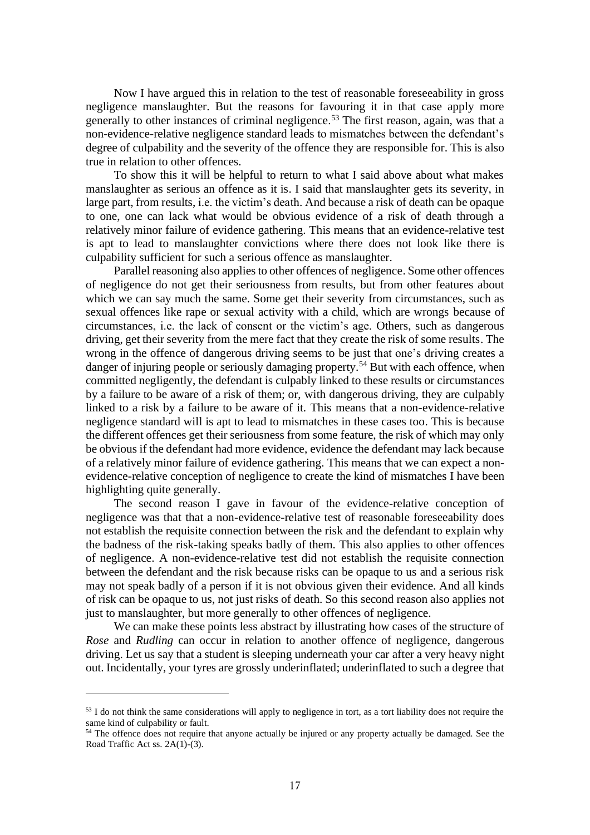Now I have argued this in relation to the test of reasonable foreseeability in gross negligence manslaughter. But the reasons for favouring it in that case apply more generally to other instances of criminal negligence. <sup>53</sup> The first reason, again, was that a non-evidence-relative negligence standard leads to mismatches between the defendant's degree of culpability and the severity of the offence they are responsible for. This is also true in relation to other offences.

To show this it will be helpful to return to what I said above about what makes manslaughter as serious an offence as it is. I said that manslaughter gets its severity, in large part, from results, i.e. the victim's death. And because a risk of death can be opaque to one, one can lack what would be obvious evidence of a risk of death through a relatively minor failure of evidence gathering. This means that an evidence-relative test is apt to lead to manslaughter convictions where there does not look like there is culpability sufficient for such a serious offence as manslaughter.

Parallel reasoning also applies to other offences of negligence. Some other offences of negligence do not get their seriousness from results, but from other features about which we can say much the same. Some get their severity from circumstances, such as sexual offences like rape or sexual activity with a child, which are wrongs because of circumstances, i.e. the lack of consent or the victim's age. Others, such as dangerous driving, get their severity from the mere fact that they create the risk of some results. The wrong in the offence of dangerous driving seems to be just that one's driving creates a danger of injuring people or seriously damaging property.<sup>54</sup> But with each offence, when committed negligently, the defendant is culpably linked to these results or circumstances by a failure to be aware of a risk of them; or, with dangerous driving, they are culpably linked to a risk by a failure to be aware of it. This means that a non-evidence-relative negligence standard will is apt to lead to mismatches in these cases too. This is because the different offences get their seriousness from some feature, the risk of which may only be obvious if the defendant had more evidence, evidence the defendant may lack because of a relatively minor failure of evidence gathering. This means that we can expect a nonevidence-relative conception of negligence to create the kind of mismatches I have been highlighting quite generally.

The second reason I gave in favour of the evidence-relative conception of negligence was that that a non-evidence-relative test of reasonable foreseeability does not establish the requisite connection between the risk and the defendant to explain why the badness of the risk-taking speaks badly of them. This also applies to other offences of negligence. A non-evidence-relative test did not establish the requisite connection between the defendant and the risk because risks can be opaque to us and a serious risk may not speak badly of a person if it is not obvious given their evidence. And all kinds of risk can be opaque to us, not just risks of death. So this second reason also applies not just to manslaughter, but more generally to other offences of negligence.

We can make these points less abstract by illustrating how cases of the structure of *Rose* and *Rudling* can occur in relation to another offence of negligence, dangerous driving. Let us say that a student is sleeping underneath your car after a very heavy night out. Incidentally, your tyres are grossly underinflated; underinflated to such a degree that

<sup>&</sup>lt;sup>53</sup> I do not think the same considerations will apply to negligence in tort, as a tort liability does not require the same kind of culpability or fault.

<sup>&</sup>lt;sup>54</sup> The offence does not require that anyone actually be injured or any property actually be damaged. See the Road Traffic Act ss. 2A(1)-(3).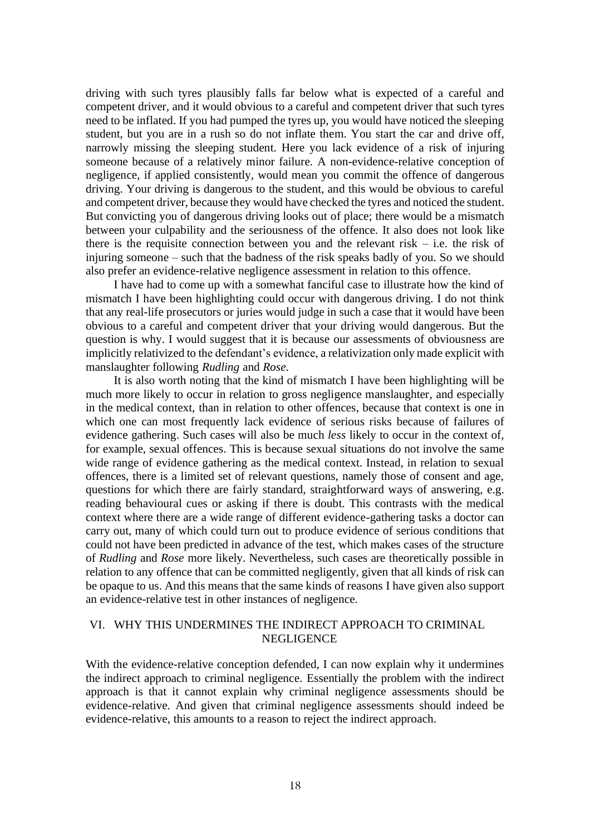driving with such tyres plausibly falls far below what is expected of a careful and competent driver, and it would obvious to a careful and competent driver that such tyres need to be inflated. If you had pumped the tyres up, you would have noticed the sleeping student, but you are in a rush so do not inflate them. You start the car and drive off, narrowly missing the sleeping student. Here you lack evidence of a risk of injuring someone because of a relatively minor failure. A non-evidence-relative conception of negligence, if applied consistently, would mean you commit the offence of dangerous driving. Your driving is dangerous to the student, and this would be obvious to careful and competent driver, because they would have checked the tyres and noticed the student. But convicting you of dangerous driving looks out of place; there would be a mismatch between your culpability and the seriousness of the offence. It also does not look like there is the requisite connection between you and the relevant risk  $-$  i.e. the risk of injuring someone – such that the badness of the risk speaks badly of you. So we should also prefer an evidence-relative negligence assessment in relation to this offence.

I have had to come up with a somewhat fanciful case to illustrate how the kind of mismatch I have been highlighting could occur with dangerous driving. I do not think that any real-life prosecutors or juries would judge in such a case that it would have been obvious to a careful and competent driver that your driving would dangerous. But the question is why. I would suggest that it is because our assessments of obviousness are implicitly relativized to the defendant's evidence, a relativization only made explicit with manslaughter following *Rudling* and *Rose*.

It is also worth noting that the kind of mismatch I have been highlighting will be much more likely to occur in relation to gross negligence manslaughter, and especially in the medical context, than in relation to other offences, because that context is one in which one can most frequently lack evidence of serious risks because of failures of evidence gathering. Such cases will also be much *less* likely to occur in the context of, for example, sexual offences. This is because sexual situations do not involve the same wide range of evidence gathering as the medical context. Instead, in relation to sexual offences, there is a limited set of relevant questions, namely those of consent and age, questions for which there are fairly standard, straightforward ways of answering, e.g. reading behavioural cues or asking if there is doubt. This contrasts with the medical context where there are a wide range of different evidence-gathering tasks a doctor can carry out, many of which could turn out to produce evidence of serious conditions that could not have been predicted in advance of the test, which makes cases of the structure of *Rudling* and *Rose* more likely. Nevertheless, such cases are theoretically possible in relation to any offence that can be committed negligently, given that all kinds of risk can be opaque to us. And this means that the same kinds of reasons I have given also support an evidence-relative test in other instances of negligence.

## VI. WHY THIS UNDERMINES THE INDIRECT APPROACH TO CRIMINAL NEGLIGENCE

With the evidence-relative conception defended, I can now explain why it undermines the indirect approach to criminal negligence. Essentially the problem with the indirect approach is that it cannot explain why criminal negligence assessments should be evidence-relative. And given that criminal negligence assessments should indeed be evidence-relative, this amounts to a reason to reject the indirect approach.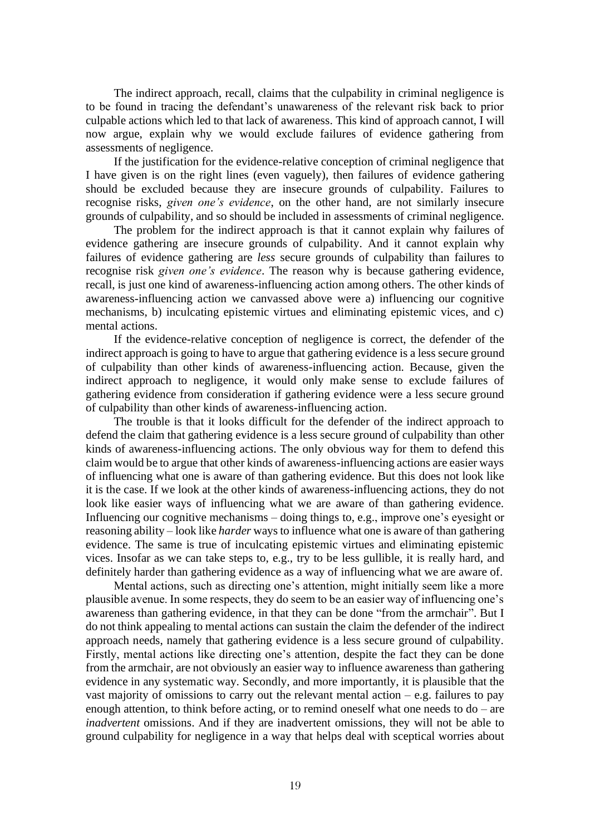The indirect approach, recall, claims that the culpability in criminal negligence is to be found in tracing the defendant's unawareness of the relevant risk back to prior culpable actions which led to that lack of awareness. This kind of approach cannot, I will now argue, explain why we would exclude failures of evidence gathering from assessments of negligence.

If the justification for the evidence-relative conception of criminal negligence that I have given is on the right lines (even vaguely), then failures of evidence gathering should be excluded because they are insecure grounds of culpability. Failures to recognise risks, *given one's evidence*, on the other hand, are not similarly insecure grounds of culpability, and so should be included in assessments of criminal negligence.

The problem for the indirect approach is that it cannot explain why failures of evidence gathering are insecure grounds of culpability. And it cannot explain why failures of evidence gathering are *less* secure grounds of culpability than failures to recognise risk *given one's evidence*. The reason why is because gathering evidence, recall, is just one kind of awareness-influencing action among others. The other kinds of awareness-influencing action we canvassed above were a) influencing our cognitive mechanisms, b) inculcating epistemic virtues and eliminating epistemic vices, and c) mental actions.

If the evidence-relative conception of negligence is correct, the defender of the indirect approach is going to have to argue that gathering evidence is a less secure ground of culpability than other kinds of awareness-influencing action. Because, given the indirect approach to negligence, it would only make sense to exclude failures of gathering evidence from consideration if gathering evidence were a less secure ground of culpability than other kinds of awareness-influencing action.

The trouble is that it looks difficult for the defender of the indirect approach to defend the claim that gathering evidence is a less secure ground of culpability than other kinds of awareness-influencing actions. The only obvious way for them to defend this claim would be to argue that other kinds of awareness-influencing actions are easier ways of influencing what one is aware of than gathering evidence. But this does not look like it is the case. If we look at the other kinds of awareness-influencing actions, they do not look like easier ways of influencing what we are aware of than gathering evidence. Influencing our cognitive mechanisms – doing things to, e.g., improve one's eyesight or reasoning ability – look like *harder* ways to influence what one is aware of than gathering evidence. The same is true of inculcating epistemic virtues and eliminating epistemic vices. Insofar as we can take steps to, e.g., try to be less gullible, it is really hard, and definitely harder than gathering evidence as a way of influencing what we are aware of.

Mental actions, such as directing one's attention, might initially seem like a more plausible avenue. In some respects, they do seem to be an easier way of influencing one's awareness than gathering evidence, in that they can be done "from the armchair". But I do not think appealing to mental actions can sustain the claim the defender of the indirect approach needs, namely that gathering evidence is a less secure ground of culpability. Firstly, mental actions like directing one's attention, despite the fact they can be done from the armchair, are not obviously an easier way to influence awareness than gathering evidence in any systematic way. Secondly, and more importantly, it is plausible that the vast majority of omissions to carry out the relevant mental action  $-$  e.g. failures to pay enough attention, to think before acting, or to remind oneself what one needs to do – are *inadvertent* omissions. And if they are inadvertent omissions, they will not be able to ground culpability for negligence in a way that helps deal with sceptical worries about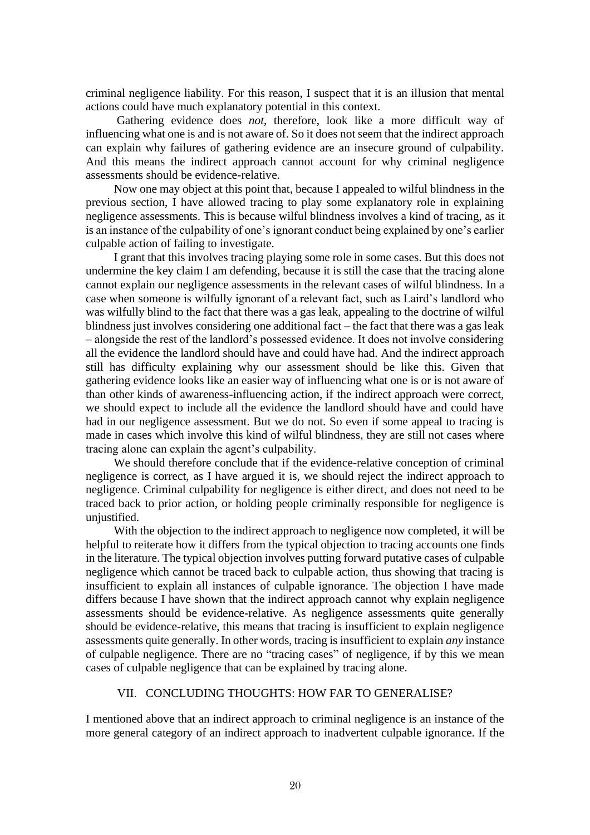criminal negligence liability. For this reason, I suspect that it is an illusion that mental actions could have much explanatory potential in this context.

Gathering evidence does *not*, therefore, look like a more difficult way of influencing what one is and is not aware of. So it does not seem that the indirect approach can explain why failures of gathering evidence are an insecure ground of culpability. And this means the indirect approach cannot account for why criminal negligence assessments should be evidence-relative.

Now one may object at this point that, because I appealed to wilful blindness in the previous section, I have allowed tracing to play some explanatory role in explaining negligence assessments. This is because wilful blindness involves a kind of tracing, as it is an instance of the culpability of one's ignorant conduct being explained by one's earlier culpable action of failing to investigate.

I grant that this involves tracing playing some role in some cases. But this does not undermine the key claim I am defending, because it is still the case that the tracing alone cannot explain our negligence assessments in the relevant cases of wilful blindness. In a case when someone is wilfully ignorant of a relevant fact, such as Laird's landlord who was wilfully blind to the fact that there was a gas leak, appealing to the doctrine of wilful blindness just involves considering one additional fact – the fact that there was a gas leak – alongside the rest of the landlord's possessed evidence. It does not involve considering all the evidence the landlord should have and could have had. And the indirect approach still has difficulty explaining why our assessment should be like this. Given that gathering evidence looks like an easier way of influencing what one is or is not aware of than other kinds of awareness-influencing action, if the indirect approach were correct, we should expect to include all the evidence the landlord should have and could have had in our negligence assessment. But we do not. So even if some appeal to tracing is made in cases which involve this kind of wilful blindness, they are still not cases where tracing alone can explain the agent's culpability.

We should therefore conclude that if the evidence-relative conception of criminal negligence is correct, as I have argued it is, we should reject the indirect approach to negligence. Criminal culpability for negligence is either direct, and does not need to be traced back to prior action, or holding people criminally responsible for negligence is uniustified.

With the objection to the indirect approach to negligence now completed, it will be helpful to reiterate how it differs from the typical objection to tracing accounts one finds in the literature. The typical objection involves putting forward putative cases of culpable negligence which cannot be traced back to culpable action, thus showing that tracing is insufficient to explain all instances of culpable ignorance. The objection I have made differs because I have shown that the indirect approach cannot why explain negligence assessments should be evidence-relative. As negligence assessments quite generally should be evidence-relative, this means that tracing is insufficient to explain negligence assessments quite generally. In other words, tracing is insufficient to explain *any* instance of culpable negligence. There are no "tracing cases" of negligence, if by this we mean cases of culpable negligence that can be explained by tracing alone.

### VII. CONCLUDING THOUGHTS: HOW FAR TO GENERALISE?

I mentioned above that an indirect approach to criminal negligence is an instance of the more general category of an indirect approach to inadvertent culpable ignorance. If the